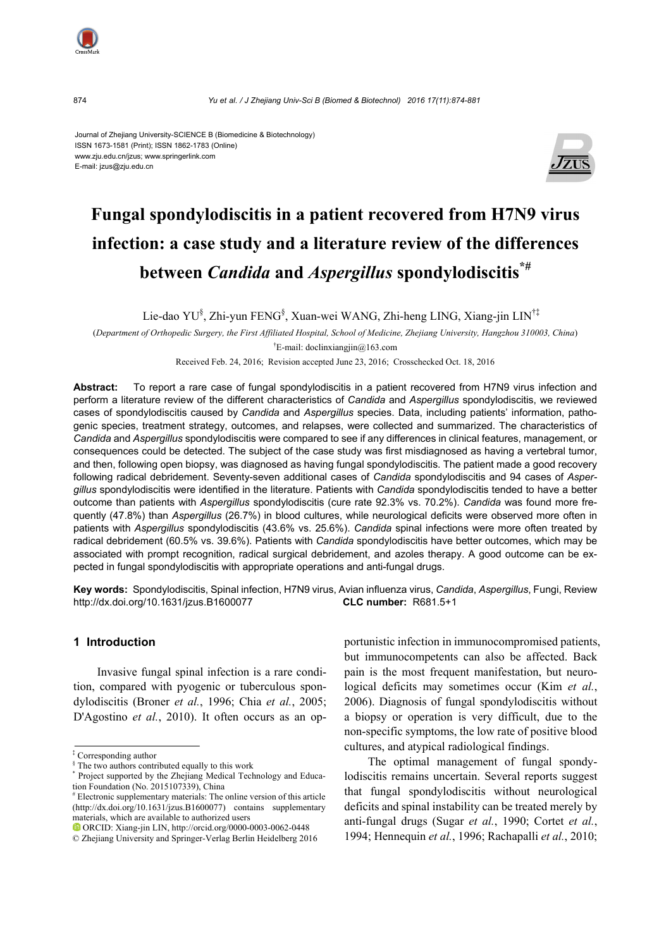

874 *Yu et al. / J Zhejiang Univ-Sci B (Biomed & Biotechnol) 2016 17(11):874-881*

#### Journal of Zhejiang University-SCIENCE B (Biomedicine & Biotechnology) ISSN 1673-1581 (Print); ISSN 1862-1783 (Online) www.zju.edu.cn/jzus; www.springerlink.com E-mail: jzus@zju.edu.cn



# **Fungal spondylodiscitis in a patient recovered from H7N9 virus infection: a case study and a literature review of the differences between** *Candida* **and** *Aspergillus* **spondylodiscitis\*#**

Lie-dao YU<sup>§</sup>, Zhi-yun FENG<sup>§</sup>, Xuan-wei WANG, Zhi-heng LING, Xiang-jin LIN<sup>†‡</sup>

(*Department of Orthopedic Surgery, the First Affiliated Hospital, School of Medicine, Zhejiang University, Hangzhou 310003, China*) † E-mail: doclinxiangjin@163.com

Received Feb. 24, 2016; Revision accepted June 23, 2016; Crosschecked Oct. 18, 2016

**Abstract:** To report a rare case of fungal spondylodiscitis in a patient recovered from H7N9 virus infection and perform a literature review of the different characteristics of *Candida* and *Aspergillus* spondylodiscitis, we reviewed cases of spondylodiscitis caused by *Candida* and *Aspergillus* species. Data, including patients' information, pathogenic species, treatment strategy, outcomes, and relapses, were collected and summarized. The characteristics of *Candida* and *Aspergillus* spondylodiscitis were compared to see if any differences in clinical features, management, or consequences could be detected. The subject of the case study was first misdiagnosed as having a vertebral tumor, and then, following open biopsy, was diagnosed as having fungal spondylodiscitis. The patient made a good recovery following radical debridement. Seventy-seven additional cases of *Candida* spondylodiscitis and 94 cases of *Aspergillus* spondylodiscitis were identified in the literature. Patients with *Candida* spondylodiscitis tended to have a better outcome than patients with *Aspergillus* spondylodiscitis (cure rate 92.3% vs. 70.2%). *Candida* was found more frequently (47.8%) than *Aspergillus* (26.7%) in blood cultures, while neurological deficits were observed more often in patients with *Aspergillus* spondylodiscitis (43.6% vs. 25.6%). *Candida* spinal infections were more often treated by radical debridement (60.5% vs. 39.6%). Patients with *Candida* spondylodiscitis have better outcomes, which may be associated with prompt recognition, radical surgical debridement, and azoles therapy. A good outcome can be expected in fungal spondylodiscitis with appropriate operations and anti-fungal drugs.

**Key words:** Spondylodiscitis, Spinal infection, H7N9 virus, Avian influenza virus, *Candida*, *Aspergillus*, Fungi, Review http://dx.doi.org/10.1631/jzus.B1600077 **CLC number:** R681.5+1

### **1 Introduction**

Invasive fungal spinal infection is a rare condition, compared with pyogenic or tuberculous spondylodiscitis (Broner *et al.*, 1996; Chia *et al.*, 2005; D'Agostino *et al.*, 2010). It often occurs as an opportunistic infection in immunocompromised patients, but immunocompetents can also be affected. Back pain is the most frequent manifestation, but neurological deficits may sometimes occur (Kim *et al.*, 2006). Diagnosis of fungal spondylodiscitis without a biopsy or operation is very difficult, due to the non-specific symptoms, the low rate of positive blood cultures, and atypical radiological findings.

The optimal management of fungal spondylodiscitis remains uncertain. Several reports suggest that fungal spondylodiscitis without neurological deficits and spinal instability can be treated merely by anti-fungal drugs (Sugar *et al.*, 1990; Cortet *et al.*, 1994; Hennequin *et al.*, 1996; Rachapalli *et al.*, 2010;

<sup>‡</sup> Corresponding author

 $\frac{1}{2}$  The two authors contributed equally to this work  $*$  Project supported by the Zheijang Medical Tech

Project supported by the Zhejiang Medical Technology and Education Foundation (No. 2015107339), China

<sup>#</sup> Electronic supplementary materials: The online version of this article (http://dx.doi.org/10.1631/jzus.B1600077) contains supplementary materials, which are available to authorized users

ORCID: Xiang-jin LIN, http://orcid.org/0000-0003-0062-0448 © Zhejiang University and Springer-Verlag Berlin Heidelberg 2016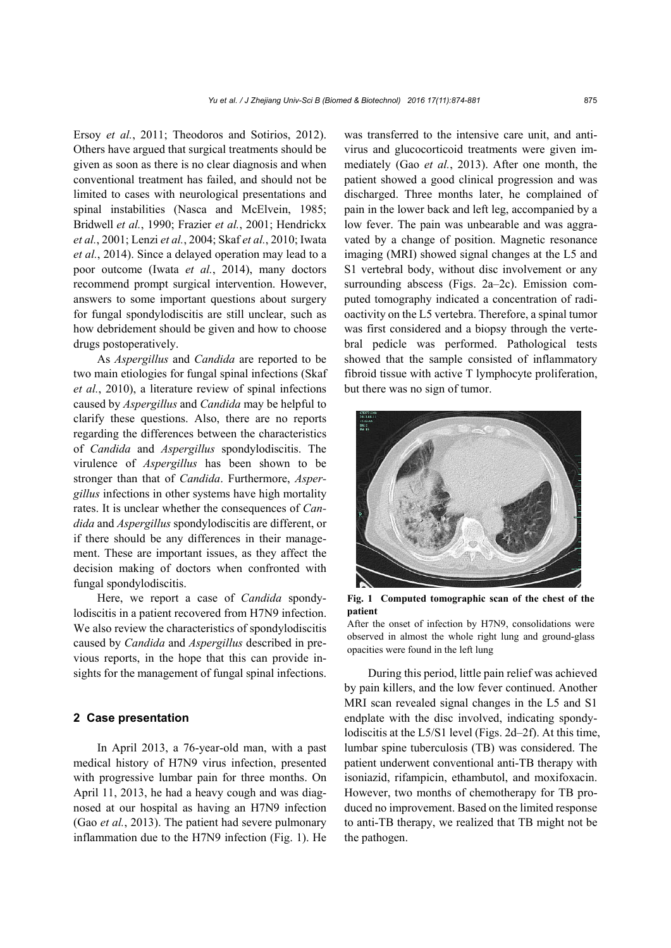Ersoy *et al.*, 2011; Theodoros and Sotirios, 2012). Others have argued that surgical treatments should be given as soon as there is no clear diagnosis and when conventional treatment has failed, and should not be limited to cases with neurological presentations and spinal instabilities (Nasca and McElvein, 1985; Bridwell *et al.*, 1990; Frazier *et al.*, 2001; Hendrickx *et al.*, 2001; Lenzi *et al.*, 2004; Skaf *et al.*, 2010; Iwata *et al.*, 2014). Since a delayed operation may lead to a poor outcome (Iwata *et al.*, 2014), many doctors recommend prompt surgical intervention. However, answers to some important questions about surgery for fungal spondylodiscitis are still unclear, such as how debridement should be given and how to choose drugs postoperatively.

As *Aspergillus* and *Candida* are reported to be two main etiologies for fungal spinal infections (Skaf *et al.*, 2010), a literature review of spinal infections caused by *Aspergillus* and *Candida* may be helpful to clarify these questions. Also, there are no reports regarding the differences between the characteristics of *Candida* and *Aspergillus* spondylodiscitis. The virulence of *Aspergillus* has been shown to be stronger than that of *Candida*. Furthermore, *Aspergillus* infections in other systems have high mortality rates. It is unclear whether the consequences of *Candida* and *Aspergillus* spondylodiscitis are different, or if there should be any differences in their management. These are important issues, as they affect the decision making of doctors when confronted with fungal spondylodiscitis.

Here, we report a case of *Candida* spondylodiscitis in a patient recovered from H7N9 infection. We also review the characteristics of spondylodiscitis caused by *Candida* and *Aspergillus* described in previous reports, in the hope that this can provide insights for the management of fungal spinal infections.

#### **2 Case presentation**

In April 2013, a 76-year-old man, with a past medical history of H7N9 virus infection, presented with progressive lumbar pain for three months. On April 11, 2013, he had a heavy cough and was diagnosed at our hospital as having an H7N9 infection (Gao *et al.*, 2013). The patient had severe pulmonary inflammation due to the H7N9 infection (Fig. 1). He was transferred to the intensive care unit, and antivirus and glucocorticoid treatments were given immediately (Gao *et al.*, 2013). After one month, the patient showed a good clinical progression and was discharged. Three months later, he complained of pain in the lower back and left leg, accompanied by a low fever. The pain was unbearable and was aggravated by a change of position. Magnetic resonance imaging (MRI) showed signal changes at the L5 and S1 vertebral body, without disc involvement or any surrounding abscess (Figs. 2a–2c). Emission computed tomography indicated a concentration of radioactivity on the L5 vertebra. Therefore, a spinal tumor was first considered and a biopsy through the vertebral pedicle was performed. Pathological tests showed that the sample consisted of inflammatory fibroid tissue with active T lymphocyte proliferation, but there was no sign of tumor.



**Fig. 1 Computed tomographic scan of the chest of the patient** 

After the onset of infection by H7N9, consolidations were observed in almost the whole right lung and ground-glass opacities were found in the left lung

During this period, little pain relief was achieved by pain killers, and the low fever continued. Another MRI scan revealed signal changes in the L5 and S1 endplate with the disc involved, indicating spondylodiscitis at the L5/S1 level (Figs. 2d–2f). At this time, lumbar spine tuberculosis (TB) was considered. The patient underwent conventional anti-TB therapy with isoniazid, rifampicin, ethambutol, and moxifoxacin. However, two months of chemotherapy for TB produced no improvement. Based on the limited response to anti-TB therapy, we realized that TB might not be the pathogen.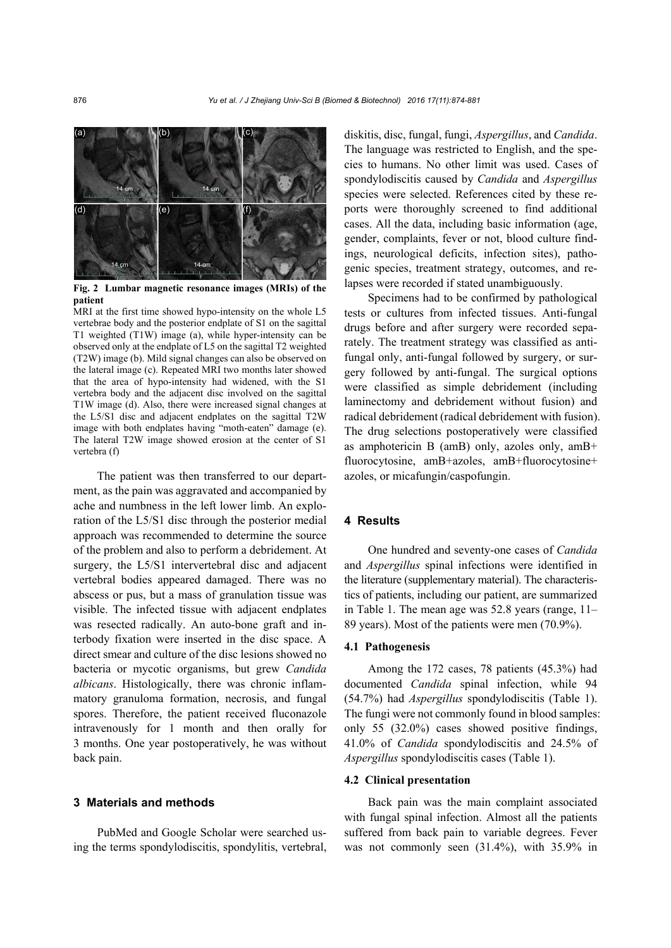

**Fig. 2 Lumbar magnetic resonance images (MRIs) of the patient** 

MRI at the first time showed hypo-intensity on the whole L5 vertebrae body and the posterior endplate of S1 on the sagittal T1 weighted (T1W) image (a), while hyper-intensity can be observed only at the endplate of L5 on the sagittal T2 weighted (T2W) image (b). Mild signal changes can also be observed on the lateral image (c). Repeated MRI two months later showed that the area of hypo-intensity had widened, with the S1 vertebra body and the adjacent disc involved on the sagittal T1W image (d). Also, there were increased signal changes at the L5/S1 disc and adjacent endplates on the sagittal T2W image with both endplates having "moth-eaten" damage (e). The lateral T2W image showed erosion at the center of S1 vertebra (f)

The patient was then transferred to our department, as the pain was aggravated and accompanied by ache and numbness in the left lower limb. An exploration of the L5/S1 disc through the posterior medial approach was recommended to determine the source of the problem and also to perform a debridement. At surgery, the L5/S1 intervertebral disc and adjacent vertebral bodies appeared damaged. There was no abscess or pus, but a mass of granulation tissue was visible. The infected tissue with adjacent endplates was resected radically. An auto-bone graft and interbody fixation were inserted in the disc space. A direct smear and culture of the disc lesions showed no bacteria or mycotic organisms, but grew *Candida albicans*. Histologically, there was chronic inflammatory granuloma formation, necrosis, and fungal spores. Therefore, the patient received fluconazole intravenously for 1 month and then orally for 3 months. One year postoperatively, he was without back pain.

#### **3 Materials and methods**

PubMed and Google Scholar were searched using the terms spondylodiscitis, spondylitis, vertebral, diskitis, disc, fungal, fungi, *Aspergillus*, and *Candida*. The language was restricted to English, and the species to humans. No other limit was used. Cases of spondylodiscitis caused by *Candida* and *Aspergillus* species were selected. References cited by these reports were thoroughly screened to find additional cases. All the data, including basic information (age, gender, complaints, fever or not, blood culture findings, neurological deficits, infection sites), pathogenic species, treatment strategy, outcomes, and relapses were recorded if stated unambiguously.

Specimens had to be confirmed by pathological tests or cultures from infected tissues. Anti-fungal drugs before and after surgery were recorded separately. The treatment strategy was classified as antifungal only, anti-fungal followed by surgery, or surgery followed by anti-fungal. The surgical options were classified as simple debridement (including laminectomy and debridement without fusion) and radical debridement (radical debridement with fusion). The drug selections postoperatively were classified as amphotericin B (amB) only, azoles only, amB+ fluorocytosine, amB+azoles, amB+fluorocytosine+ azoles, or micafungin/caspofungin.

#### **4 Results**

One hundred and seventy-one cases of *Candida* and *Aspergillus* spinal infections were identified in the literature (supplementary material). The characteristics of patients, including our patient, are summarized in Table 1. The mean age was 52.8 years (range, 11– 89 years). Most of the patients were men (70.9%).

#### **4.1 Pathogenesis**

Among the 172 cases, 78 patients (45.3%) had documented *Candida* spinal infection, while 94 (54.7%) had *Aspergillus* spondylodiscitis (Table 1). The fungi were not commonly found in blood samples: only 55 (32.0%) cases showed positive findings, 41.0% of *Candida* spondylodiscitis and 24.5% of *Aspergillus* spondylodiscitis cases (Table 1).

### **4.2 Clinical presentation**

Back pain was the main complaint associated with fungal spinal infection. Almost all the patients suffered from back pain to variable degrees. Fever was not commonly seen (31.4%), with 35.9% in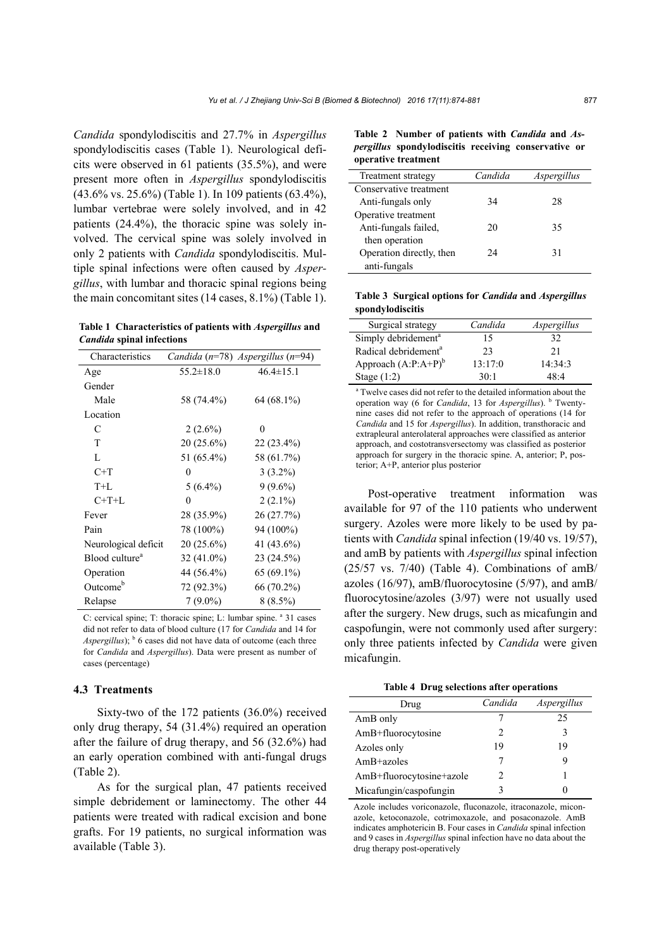*Candida* spondylodiscitis and 27.7% in *Aspergillus* spondylodiscitis cases (Table 1). Neurological deficits were observed in 61 patients (35.5%), and were present more often in *Aspergillus* spondylodiscitis (43.6% vs. 25.6%) (Table 1). In 109 patients (63.4%), lumbar vertebrae were solely involved, and in 42 patients (24.4%), the thoracic spine was solely involved. The cervical spine was solely involved in only 2 patients with *Candida* spondylodiscitis. Multiple spinal infections were often caused by *Aspergillus*, with lumbar and thoracic spinal regions being the main concomitant sites (14 cases, 8.1%) (Table 1).

**Table 1 Characteristics of patients with** *Aspergillus* **and**  *Candida* **spinal infections**

| Characteristics            |                 | Candida ( $n=78$ ) Aspergillus ( $n=94$ ) |
|----------------------------|-----------------|-------------------------------------------|
| Age                        | $55.2 \pm 18.0$ | $46.4 \pm 15.1$                           |
| Gender                     |                 |                                           |
| Male                       | 58 (74.4%)      | 64 (68.1%)                                |
| Location                   |                 |                                           |
| C                          | $2(2.6\%)$      | 0                                         |
| T                          | $20(25.6\%)$    | 22 (23.4%)                                |
| L                          | 51 (65.4%)      | 58 (61.7%)                                |
| $C+T$                      | $\theta$        | $3(3.2\%)$                                |
| $T+L$                      | $5(6.4\%)$      | $9(9.6\%)$                                |
| $C+T+L$                    | 0               | $2(2.1\%)$                                |
| Fever                      | 28 (35.9%)      | 26 (27.7%)                                |
| Pain                       | 78 (100%)       | 94 (100%)                                 |
| Neurological deficit       | $20(25.6\%)$    | 41 (43.6%)                                |
| Blood culture <sup>a</sup> | $32(41.0\%)$    | 23 (24.5%)                                |
| Operation                  | 44 (56.4%)      | $65(69.1\%)$                              |
| Outcome <sup>b</sup>       | 72 (92.3%)      | 66 (70.2%)                                |
| Relapse                    | $7(9.0\%)$      | $8(8.5\%)$                                |

C: cervical spine; T: thoracic spine; L: lumbar spine. <sup>a</sup> 31 cases did not refer to data of blood culture (17 for *Candida* and 14 for Aspergillus); <sup>b</sup> 6 cases did not have data of outcome (each three for *Candida* and *Aspergillus*). Data were present as number of cases (percentage)

### **4.3 Treatments**

Sixty-two of the 172 patients (36.0%) received only drug therapy, 54 (31.4%) required an operation after the failure of drug therapy, and 56 (32.6%) had an early operation combined with anti-fungal drugs (Table 2).

As for the surgical plan, 47 patients received simple debridement or laminectomy. The other 44 patients were treated with radical excision and bone grafts. For 19 patients, no surgical information was available (Table 3).

**Table 2 Number of patients with** *Candida* **and** *Aspergillus* **spondylodiscitis receiving conservative or operative treatment**

| <b>Treatment strategy</b> | Candida | Aspergillus |
|---------------------------|---------|-------------|
| Conservative treatment    |         |             |
| Anti-fungals only         | 34      | 28          |
| Operative treatment       |         |             |
| Anti-fungals failed,      | 20      | 35          |
| then operation            |         |             |
| Operation directly, then  | 24      | 31          |
| anti-fungals              |         |             |

**Table 3 Surgical options for** *Candida* **and** *Aspergillus* **spondylodiscitis**

| Surgical strategy                | Candida | Aspergillus |
|----------------------------------|---------|-------------|
| Simply debridement <sup>a</sup>  | 15      | 32          |
| Radical debridement <sup>a</sup> | 23      | 21          |
| Approach $(A:P:A+P)^b$           | 13:17:0 | 14:34:3     |
| Stage $(1:2)$                    | 30:1    | 48.4        |

a Twelve cases did not refer to the detailed information about the operation way (6 for *Candida*, 13 for *Aspergillus*). <sup>b</sup> Twentynine cases did not refer to the approach of operations (14 for *Candida* and 15 for *Aspergillus*). In addition, transthoracic and extrapleural anterolateral approaches were classified as anterior approach, and costotransversectomy was classified as posterior approach for surgery in the thoracic spine. A, anterior; P, posterior; A+P, anterior plus posterior

Post-operative treatment information was available for 97 of the 110 patients who underwent surgery. Azoles were more likely to be used by patients with *Candida* spinal infection (19/40 vs. 19/57), and amB by patients with *Aspergillus* spinal infection  $(25/57 \text{ vs. } 7/40)$  (Table 4). Combinations of amB/ azoles (16/97), amB/fluorocytosine (5/97), and amB/ fluorocytosine/azoles (3/97) were not usually used after the surgery. New drugs, such as micafungin and caspofungin, were not commonly used after surgery: only three patients infected by *Candida* were given micafungin.

**Table 4 Drug selections after operations**

| Candida                     | Aspergillus |
|-----------------------------|-------------|
|                             | 25          |
| $\mathcal{D}_{\mathcal{L}}$ | 3           |
| 19                          | 19          |
|                             | 9           |
| 2                           |             |
|                             |             |
|                             |             |

Azole includes voriconazole, fluconazole, itraconazole, miconazole, ketoconazole, cotrimoxazole, and posaconazole. AmB indicates amphotericin B. Four cases in *Candida* spinal infection and 9 cases in *Aspergillus* spinal infection have no data about the drug therapy post-operatively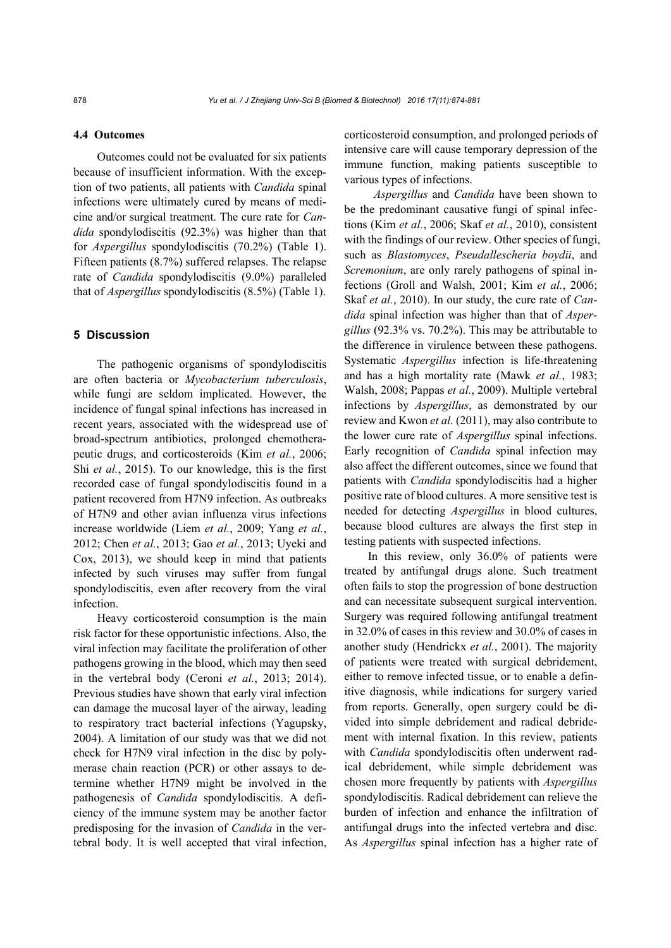# **4.4 Outcomes**

Outcomes could not be evaluated for six patients because of insufficient information. With the exception of two patients, all patients with *Candida* spinal infections were ultimately cured by means of medicine and/or surgical treatment. The cure rate for *Candida* spondylodiscitis (92.3%) was higher than that for *Aspergillus* spondylodiscitis (70.2%) (Table 1). Fifteen patients (8.7%) suffered relapses. The relapse rate of *Candida* spondylodiscitis (9.0%) paralleled that of *Aspergillus* spondylodiscitis (8.5%) (Table 1).

## **5 Discussion**

The pathogenic organisms of spondylodiscitis are often bacteria or *Mycobacterium tuberculosis*, while fungi are seldom implicated. However, the incidence of fungal spinal infections has increased in recent years, associated with the widespread use of broad-spectrum antibiotics, prolonged chemotherapeutic drugs, and corticosteroids (Kim *et al.*, 2006; Shi *et al.*, 2015). To our knowledge, this is the first recorded case of fungal spondylodiscitis found in a patient recovered from H7N9 infection. As outbreaks of H7N9 and other avian influenza virus infections increase worldwide (Liem *et al.*, 2009; Yang *et al.*, 2012; Chen *et al.*, 2013; Gao *et al.*, 2013; Uyeki and Cox, 2013), we should keep in mind that patients infected by such viruses may suffer from fungal spondylodiscitis, even after recovery from the viral infection.

Heavy corticosteroid consumption is the main risk factor for these opportunistic infections. Also, the viral infection may facilitate the proliferation of other pathogens growing in the blood, which may then seed in the vertebral body (Ceroni *et al.*, 2013; 2014). Previous studies have shown that early viral infection can damage the mucosal layer of the airway, leading to respiratory tract bacterial infections (Yagupsky, 2004). A limitation of our study was that we did not check for H7N9 viral infection in the disc by polymerase chain reaction (PCR) or other assays to determine whether H7N9 might be involved in the pathogenesis of *Candida* spondylodiscitis. A deficiency of the immune system may be another factor predisposing for the invasion of *Candida* in the vertebral body. It is well accepted that viral infection,

corticosteroid consumption, and prolonged periods of intensive care will cause temporary depression of the immune function, making patients susceptible to various types of infections.

*Aspergillus* and *Candida* have been shown to be the predominant causative fungi of spinal infections (Kim *et al.*, 2006; Skaf *et al.*, 2010), consistent with the findings of our review. Other species of fungi, such as *Blastomyces*, *Pseudallescheria boydii*, and *Scremonium*, are only rarely pathogens of spinal infections (Groll and Walsh, 2001; Kim *et al.*, 2006; Skaf *et al.*, 2010). In our study, the cure rate of *Candida* spinal infection was higher than that of *Aspergillus* (92.3% vs. 70.2%). This may be attributable to the difference in virulence between these pathogens. Systematic *Aspergillus* infection is life-threatening and has a high mortality rate (Mawk *et al.*, 1983; Walsh, 2008; Pappas *et al.*, 2009). Multiple vertebral infections by *Aspergillus*, as demonstrated by our review and Kwon *et al.* (2011), may also contribute to the lower cure rate of *Aspergillus* spinal infections. Early recognition of *Candida* spinal infection may also affect the different outcomes, since we found that patients with *Candida* spondylodiscitis had a higher positive rate of blood cultures. A more sensitive test is needed for detecting *Aspergillus* in blood cultures, because blood cultures are always the first step in testing patients with suspected infections.

In this review, only 36.0% of patients were treated by antifungal drugs alone. Such treatment often fails to stop the progression of bone destruction and can necessitate subsequent surgical intervention. Surgery was required following antifungal treatment in 32.0% of cases in this review and 30.0% of cases in another study (Hendrickx *et al.*, 2001). The majority of patients were treated with surgical debridement, either to remove infected tissue, or to enable a definitive diagnosis, while indications for surgery varied from reports. Generally, open surgery could be divided into simple debridement and radical debridement with internal fixation. In this review, patients with *Candida* spondylodiscitis often underwent radical debridement, while simple debridement was chosen more frequently by patients with *Aspergillus* spondylodiscitis. Radical debridement can relieve the burden of infection and enhance the infiltration of antifungal drugs into the infected vertebra and disc. As *Aspergillus* spinal infection has a higher rate of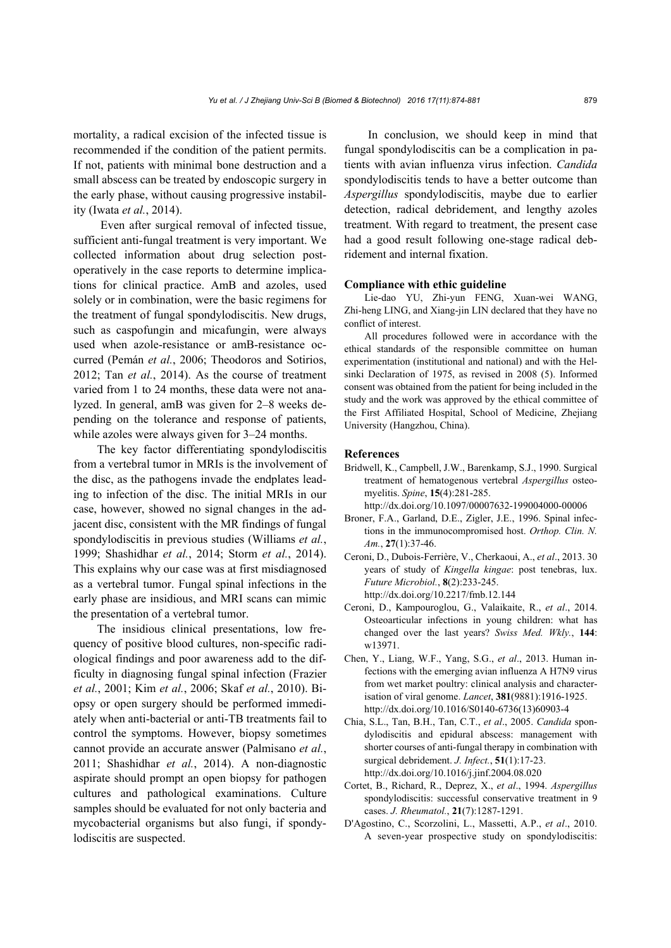mortality, a radical excision of the infected tissue is recommended if the condition of the patient permits. If not, patients with minimal bone destruction and a small abscess can be treated by endoscopic surgery in the early phase, without causing progressive instability (Iwata *et al.*, 2014).

Even after surgical removal of infected tissue, sufficient anti-fungal treatment is very important. We collected information about drug selection postoperatively in the case reports to determine implications for clinical practice. AmB and azoles, used solely or in combination, were the basic regimens for the treatment of fungal spondylodiscitis. New drugs, such as caspofungin and micafungin, were always used when azole-resistance or amB-resistance occurred (Pemán *et al.*, 2006; Theodoros and Sotirios, 2012; Tan *et al.*, 2014). As the course of treatment varied from 1 to 24 months, these data were not analyzed. In general, amB was given for 2–8 weeks depending on the tolerance and response of patients, while azoles were always given for 3–24 months.

The key factor differentiating spondylodiscitis from a vertebral tumor in MRIs is the involvement of the disc, as the pathogens invade the endplates leading to infection of the disc. The initial MRIs in our case, however, showed no signal changes in the adjacent disc, consistent with the MR findings of fungal spondylodiscitis in previous studies (Williams *et al.*, 1999; Shashidhar *et al.*, 2014; Storm *et al.*, 2014). This explains why our case was at first misdiagnosed as a vertebral tumor. Fungal spinal infections in the early phase are insidious, and MRI scans can mimic the presentation of a vertebral tumor.

The insidious clinical presentations, low frequency of positive blood cultures, non-specific radiological findings and poor awareness add to the difficulty in diagnosing fungal spinal infection (Frazier *et al.*, 2001; Kim *et al.*, 2006; Skaf *et al.*, 2010). Biopsy or open surgery should be performed immediately when anti-bacterial or anti-TB treatments fail to control the symptoms. However, biopsy sometimes cannot provide an accurate answer (Palmisano *et al.*, 2011; Shashidhar *et al.*, 2014). A non-diagnostic aspirate should prompt an open biopsy for pathogen cultures and pathological examinations. Culture samples should be evaluated for not only bacteria and mycobacterial organisms but also fungi, if spondylodiscitis are suspected.

In conclusion, we should keep in mind that fungal spondylodiscitis can be a complication in patients with avian influenza virus infection. *Candida* spondylodiscitis tends to have a better outcome than *Aspergillus* spondylodiscitis, maybe due to earlier detection, radical debridement, and lengthy azoles treatment. With regard to treatment, the present case had a good result following one-stage radical debridement and internal fixation.

#### **Compliance with ethic guideline**

Lie-dao YU, Zhi-yun FENG, Xuan-wei WANG, Zhi-heng LING, and Xiang-jin LIN declared that they have no conflict of interest.

All procedures followed were in accordance with the ethical standards of the responsible committee on human experimentation (institutional and national) and with the Helsinki Declaration of 1975, as revised in 2008 (5). Informed consent was obtained from the patient for being included in the study and the work was approved by the ethical committee of the First Affiliated Hospital, School of Medicine, Zhejiang University (Hangzhou, China).

#### **References**

- Bridwell, K., Campbell, J.W., Barenkamp, S.J., 1990. Surgical treatment of hematogenous vertebral *Aspergillus* osteomyelitis. *Spine*, **15**(4):281-285. http://dx.doi.org/10.1097/00007632-199004000-00006
- Broner, F.A., Garland, D.E., Zigler, J.E., 1996. Spinal infections in the immunocompromised host. *Orthop. Clin. N. Am.*, **27**(1):37-46.
- Ceroni, D., Dubois-Ferrière, V., Cherkaoui, A., *et al*., 2013. 30 years of study of *Kingella kingae*: post tenebras, lux. *Future Microbiol.*, **8**(2):233-245. http://dx.doi.org/10.2217/fmb.12.144
- Ceroni, D., Kampouroglou, G., Valaikaite, R., *et al*., 2014. Osteoarticular infections in young children: what has changed over the last years? *Swiss Med. Wkly.*, **144**: w13971.
- Chen, Y., Liang, W.F., Yang, S.G., *et al*., 2013. Human infections with the emerging avian influenza A H7N9 virus from wet market poultry: clinical analysis and characterisation of viral genome. *Lancet*, **381**(9881):1916-1925. http://dx.doi.org/10.1016/S0140-6736(13)60903-4
- Chia, S.L., Tan, B.H., Tan, C.T., *et al*., 2005. *Candida* spondylodiscitis and epidural abscess: management with shorter courses of anti-fungal therapy in combination with surgical debridement. *J. Infect.*, **51**(1):17-23. http://dx.doi.org/10.1016/j.jinf.2004.08.020
- Cortet, B., Richard, R., Deprez, X., *et al*., 1994. *Aspergillus* spondylodiscitis: successful conservative treatment in 9 cases. *J. Rheumatol.*, **21**(7):1287-1291.
- D'Agostino, C., Scorzolini, L., Massetti, A.P., *et al*., 2010. A seven-year prospective study on spondylodiscitis: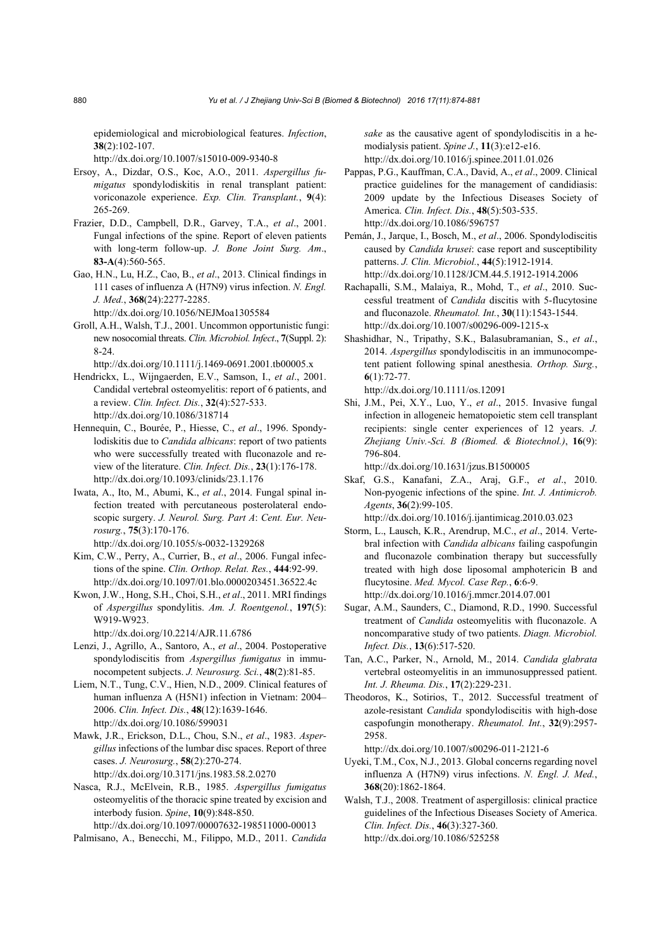epidemiological and microbiological features. *Infection*, **38**(2):102-107.

http://dx.doi.org/10.1007/s15010-009-9340-8

- Ersoy, A., Dizdar, O.S., Koc, A.O., 2011. *Aspergillus fumigatus* spondylodiskitis in renal transplant patient: voriconazole experience. *Exp. Clin. Transplant.*, **9**(4): 265-269.
- Frazier, D.D., Campbell, D.R., Garvey, T.A., *et al*., 2001. Fungal infections of the spine. Report of eleven patients with long-term follow-up. *J. Bone Joint Surg. Am*., **83-A**(4):560-565.
- Gao, H.N., Lu, H.Z., Cao, B., *et al*., 2013. Clinical findings in 111 cases of influenza A (H7N9) virus infection. *N. Engl. J. Med.*, **368**(24):2277-2285.

http://dx.doi.org/10.1056/NEJMoa1305584

Groll, A.H., Walsh, T.J., 2001. Uncommon opportunistic fungi: new nosocomial threats. *Clin. Microbiol. Infect*., **7**(Suppl. 2): 8-24.

http://dx.doi.org/10.1111/j.1469-0691.2001.tb00005.x

- Hendrickx, L., Wijngaerden, E.V., Samson, I., *et al*., 2001. Candidal vertebral osteomyelitis: report of 6 patients, and a review. *Clin. Infect. Dis.*, **32**(4):527-533. http://dx.doi.org/10.1086/318714
- Hennequin, C., Bourée, P., Hiesse, C., *et al*., 1996. Spondylodiskitis due to *Candida albicans*: report of two patients who were successfully treated with fluconazole and review of the literature. *Clin. Infect. Dis.*, **23**(1):176-178. http://dx.doi.org/10.1093/clinids/23.1.176
- Iwata, A., Ito, M., Abumi, K., *et al*., 2014. Fungal spinal infection treated with percutaneous posterolateral endoscopic surgery. *J. Neurol. Surg. Part A*: *Cent. Eur. Neurosurg.*, **75**(3):170-176. http://dx.doi.org/10.1055/s-0032-1329268
- Kim, C.W., Perry, A., Currier, B., *et al*., 2006. Fungal infections of the spine. *Clin. Orthop. Relat. Res.*, **444**:92-99. http://dx.doi.org/10.1097/01.blo.0000203451.36522.4c
- Kwon, J.W., Hong, S.H., Choi, S.H., *et al*., 2011. MRI findings of *Aspergillus* spondylitis. *Am. J. Roentgenol.*, **197**(5): W919-W923.

http://dx.doi.org/10.2214/AJR.11.6786

- Lenzi, J., Agrillo, A., Santoro, A., *et al*., 2004. Postoperative spondylodiscitis from *Aspergillus fumigatus* in immunocompetent subjects. *J. Neurosurg. Sci.*, **48**(2):81-85.
- Liem, N.T., Tung, C.V., Hien, N.D., 2009. Clinical features of human influenza A (H5N1) infection in Vietnam: 2004– 2006. *Clin. Infect. Dis.*, **48**(12):1639-1646. http://dx.doi.org/10.1086/599031
- Mawk, J.R., Erickson, D.L., Chou, S.N., *et al*., 1983. *Aspergillus* infections of the lumbar disc spaces. Report of three cases. *J. Neurosurg.*, **58**(2):270-274. http://dx.doi.org/10.3171/jns.1983.58.2.0270
- Nasca, R.J., McElvein, R.B., 1985. *Aspergillus fumigatus* osteomyelitis of the thoracic spine treated by excision and interbody fusion. *Spine*, **10**(9):848-850. http://dx.doi.org/10.1097/00007632-198511000-00013

Palmisano, A., Benecchi, M., Filippo, M.D., 2011. *Candida*

*sake* as the causative agent of spondylodiscitis in a hemodialysis patient. *Spine J.*, **11**(3):e12-e16. http://dx.doi.org/10.1016/j.spinee.2011.01.026

- Pappas, P.G., Kauffman, C.A., David, A., *et al*., 2009. Clinical practice guidelines for the management of candidiasis: 2009 update by the Infectious Diseases Society of America. *Clin. Infect. Dis.*, **48**(5):503-535. http://dx.doi.org/10.1086/596757
- Pemán, J., Jarque, I., Bosch, M., *et al*., 2006. Spondylodiscitis caused by *Candida krusei*: case report and susceptibility patterns. *J. Clin. Microbiol.*, **44**(5):1912-1914. http://dx.doi.org/10.1128/JCM.44.5.1912-1914.2006
- Rachapalli, S.M., Malaiya, R., Mohd, T., *et al*., 2010. Successful treatment of *Candida* discitis with 5-flucytosine and fluconazole. *Rheumatol. Int.*, **30**(11):1543-1544. http://dx.doi.org/10.1007/s00296-009-1215-x
- Shashidhar, N., Tripathy, S.K., Balasubramanian, S., *et al*., 2014. *Aspergillus* spondylodiscitis in an immunocompetent patient following spinal anesthesia. *Orthop. Surg.*, **6**(1):72-77.

http://dx.doi.org/10.1111/os.12091

Shi, J.M., Pei, X.Y., Luo, Y., *et al*., 2015. Invasive fungal infection in allogeneic hematopoietic stem cell transplant recipients: single center experiences of 12 years. *J. Zhejiang Univ.-Sci. B (Biomed. & Biotechnol.)*, **16**(9): 796-804.

http://dx.doi.org/10.1631/jzus.B1500005

Skaf, G.S., Kanafani, Z.A., Araj, G.F., *et al*., 2010. Non-pyogenic infections of the spine. *Int. J. Antimicrob. Agents*, **36**(2):99-105.

http://dx.doi.org/10.1016/j.ijantimicag.2010.03.023

- Storm, L., Lausch, K.R., Arendrup, M.C., *et al*., 2014. Vertebral infection with *Candida albicans* failing caspofungin and fluconazole combination therapy but successfully treated with high dose liposomal amphotericin B and flucytosine. *Med. Mycol. Case Rep.*, **6**:6-9. http://dx.doi.org/10.1016/j.mmcr.2014.07.001
- Sugar, A.M., Saunders, C., Diamond, R.D., 1990. Successful treatment of *Candida* osteomyelitis with fluconazole. A noncomparative study of two patients. *Diagn. Microbiol. Infect. Dis.*, **13**(6):517-520.
- Tan, A.C., Parker, N., Arnold, M., 2014. *Candida glabrata* vertebral osteomyelitis in an immunosuppressed patient. *Int. J. Rheuma. Dis.*, **17**(2):229-231.
- Theodoros, K., Sotirios, T., 2012. Successful treatment of azole-resistant *Candida* spondylodiscitis with high-dose caspofungin monotherapy. *Rheumatol. Int.*, **32**(9):2957- 2958.

http://dx.doi.org/10.1007/s00296-011-2121-6

- Uyeki, T.M., Cox, N.J., 2013. Global concerns regarding novel influenza A (H7N9) virus infections. *N. Engl. J. Med.*, **368**(20):1862-1864.
- Walsh, T.J., 2008. Treatment of aspergillosis: clinical practice guidelines of the Infectious Diseases Society of America. *Clin. Infect. Dis.*, **46**(3):327-360. http://dx.doi.org/10.1086/525258